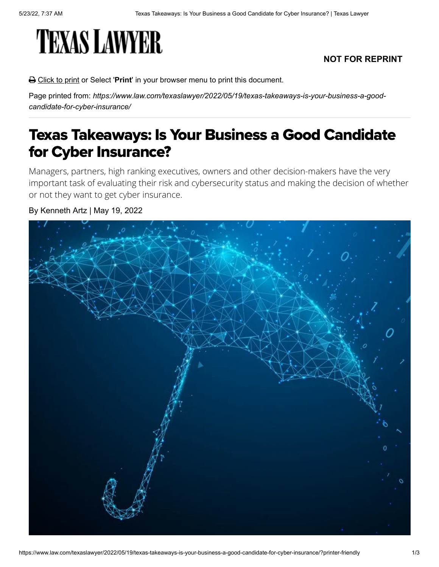# **TEXAS LAWYER**

## **NOT FOR REPRINT**

Click to print or Select '**Print**' in your browser menu to print this document.

Page printed from: *https://www.law.com/texaslawyer/2022/05/19/texas-takeaways-is-your-business-a-goodcandidate-for-cyber-insurance/*

# Texas Takeaways: Is Your Business a Good Candidate for Cyber Insurance?

Managers, partners, high ranking executives, owners and other decision-makers have the very important task of evaluating their risk and cybersecurity status and making the decision of whether or not they want to get cyber insurance.

### By Kenneth Artz | May 19, 2022

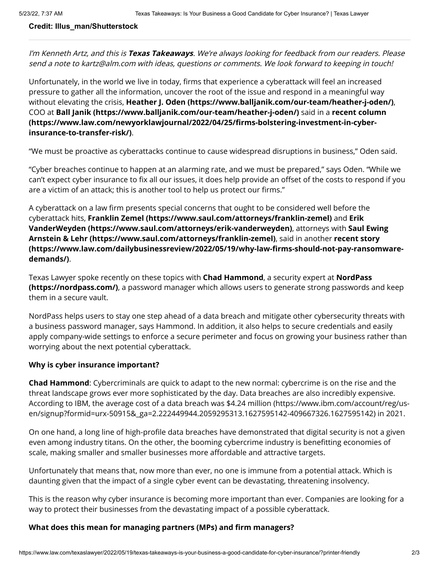#### **Credit: Illus\_man/Shutterstock**

I'm Kenneth Artz, and this is **Texas Takeaways**. We're always looking for feedback from our readers. Please send a note to kartz@alm.com with ideas, questions or comments. We look forward to keeping in touch!

Unfortunately, in the world we live in today, firms that experience a cyberattack will feel an increased pressure to gather all the information, uncover the root of the issue and respond in a meaningful way without elevating the crisis, **[Heather J. Oden \(https://www.balljanik.com/our-team/heather-j-oden/\)](https://www.balljanik.com/our-team/heather-j-oden/)**, COO at **[Ball Janik \(https://www.balljanik.com/our-team/heather-j-oden/\)](https://www.balljanik.com/our-team/heather-j-oden/)** said in a **recent column [\(https://www.law.com/newyorklawjournal/2022/04/25/firms-bolstering-investment-in-cyber](https://www.law.com/newyorklawjournal/2022/04/25/firms-bolstering-investment-in-cyber-insurance-to-transfer-risk/)insurance-to-transfer-risk/)**.

"We must be proactive as cyberattacks continue to cause widespread disruptions in business," Oden said.

"Cyber breaches continue to happen at an alarming rate, and we must be prepared," says Oden. "While we can't expect cyber insurance to fix all our issues, it does help provide an offset of the costs to respond if you are a victim of an attack; this is another tool to help us protect our firms."

A cyberattack on a law firm presents special concerns that ought to be considered well before the cyberattack hits, **[Franklin Zemel \(https://www.saul.com/attorneys/franklin-zemel\)](https://www.saul.com/attorneys/franklin-zemel)** and **Erik [VanderWeyden \(https://www.saul.com/attorneys/erik-vanderweyden\)](https://www.saul.com/attorneys/erik-vanderweyden)**, attorneys with **Saul Ewing Arnstein & Lehr (https://www.saul.com/attorneys/franklin-zemel)**, said in another **recent story [\(https://www.law.com/dailybusinessreview/2022/05/19/why-law-firms-should-not-pay-ransomware](https://www.law.com/dailybusinessreview/2022/05/19/why-law-firms-should-not-pay-ransomware-demands/)demands/)**.

Texas Lawyer spoke recently on these topics with **Chad Hammond**, a security expert at **NordPass (https://nordpass.com/)**[, a password manager which allows users to generate strong passwords a](https://nordpass.com/)nd keep them in a secure vault.

NordPass helps users to stay one step ahead of a data breach and mitigate other cybersecurity threats with a business password manager, says Hammond. In addition, it also helps to secure credentials and easily apply company-wide settings to enforce a secure perimeter and focus on growing your business rather than worrying about the next potential cyberattack.

#### **Why is cyber insurance important?**

**Chad Hammond**: Cybercriminals are quick to adapt to the new normal: cybercrime is on the rise and the threat landscape grows ever more sophisticated by the day. Data breaches are also incredibly expensive. [According to IBM, the average cost of a data breach was \\$4.24 million \(https://www.ibm.com/account/reg/us](https://www.ibm.com/account/reg/us-en/signup?formid=urx-50915&_ga=2.222449944.2059295313.1627595142-409667326.1627595142)en/signup?formid=urx-50915&\_ga=2.222449944.2059295313.1627595142-409667326.1627595142) in 2021.

On one hand, a long line of high-profile data breaches have demonstrated that digital security is not a given even among industry titans. On the other, the booming cybercrime industry is benefitting economies of scale, making smaller and smaller businesses more affordable and attractive targets.

Unfortunately that means that, now more than ever, no one is immune from a potential attack. Which is daunting given that the impact of a single cyber event can be devastating, threatening insolvency.

This is the reason why cyber insurance is becoming more important than ever. Companies are looking for a way to protect their businesses from the devastating impact of a possible cyberattack.

#### **What does this mean for managing partners (MPs) and firm managers?**